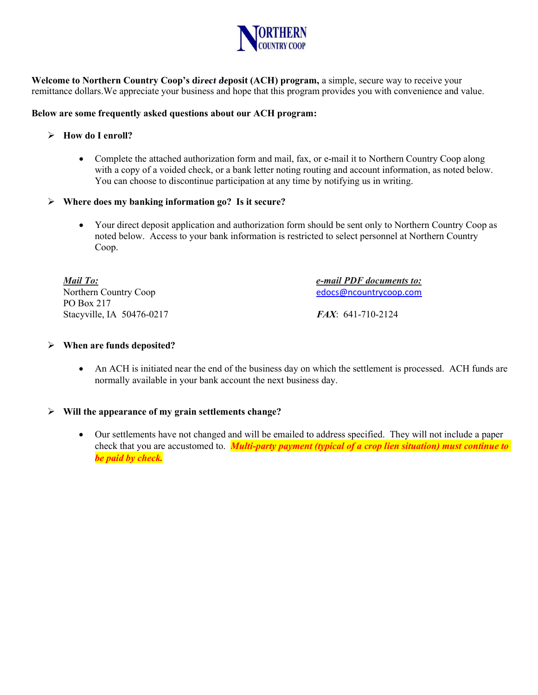

Welcome to Northern Country Coop's direct deposit (ACH) program, a simple, secure way to receive your remittance dollars. We appreciate your business and hope that this program provides you with convenience and value.

### Below are some frequently asked questions about our ACH program:

# $\triangleright$  How do I enroll?

• Complete the attached authorization form and mail, fax, or e-mail it to Northern Country Coop along with a copy of a voided check, or a bank letter noting routing and account information, as noted below. You can choose to discontinue participation at any time by notifying us in writing.

## $\triangleright$  Where does my banking information go? Is it secure?

 Your direct deposit application and authorization form should be sent only to Northern Country Coop as noted below. Access to your bank information is restricted to select personnel at Northern Country Coop.

Mail To: e-mail PDF documents to: Northern Country Coop edocs@ncountrycoop.com PO Box 217 Stacyville, IA 50476-0217 FAX: 641-710-2124

#### $\triangleright$  When are funds deposited?

 An ACH is initiated near the end of the business day on which the settlement is processed. ACH funds are normally available in your bank account the next business day.

#### $\triangleright$  Will the appearance of my grain settlements change?

 Our settlements have not changed and will be emailed to address specified. They will not include a paper check that you are accustomed to. **Multi-party payment (typical of a crop lien situation) must continue to** be paid by check.